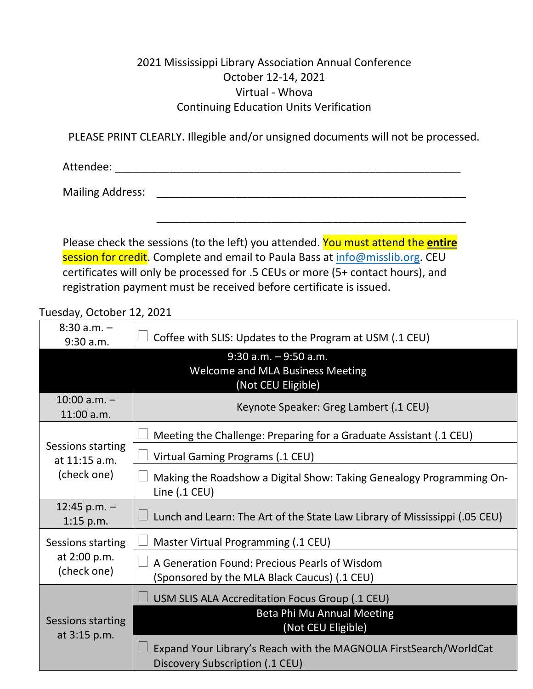## 2021 Mississippi Library Association Annual Conference October 12-14, 2021 Virtual - Whova Continuing Education Units Verification

PLEASE PRINT CLEARLY. Illegible and/or unsigned documents will not be processed.

Attendee: \_\_\_\_\_\_\_\_\_\_\_\_\_\_\_\_\_\_\_\_\_\_\_\_\_\_\_\_\_\_\_\_\_\_\_\_\_\_\_\_\_\_\_\_\_\_\_\_\_\_\_\_\_\_\_\_\_

Mailing Address: \_\_\_\_\_\_\_\_\_\_\_\_\_\_\_\_\_\_\_\_\_\_\_\_\_\_\_\_\_\_\_\_\_\_\_\_\_\_\_\_\_\_\_\_\_\_\_\_\_\_\_

Please check the sessions (to the left) you attended. You must attend the **entire** session for credit. Complete and email to Paula Bass at [info@misslib.org.](mailto:info@misslib.org) CEU certificates will only be processed for .5 CEUs or more (5+ contact hours), and registration payment must be received before certificate is issued.

\_\_\_\_\_\_\_\_\_\_\_\_\_\_\_\_\_\_\_\_\_\_\_\_\_\_\_\_\_\_\_\_\_\_\_\_\_\_\_\_\_\_\_\_\_\_\_\_\_\_\_

## Tuesday, October 12, 2021

| $8:30$ a.m. $-$<br>9:30 a.m.                      | Coffee with SLIS: Updates to the Program at USM (.1 CEU)                                              |
|---------------------------------------------------|-------------------------------------------------------------------------------------------------------|
|                                                   | $9:30$ a.m. $-9:50$ a.m.<br><b>Welcome and MLA Business Meeting</b><br>(Not CEU Eligible)             |
| $10:00$ a.m. $-$<br>11:00 a.m.                    | Keynote Speaker: Greg Lambert (.1 CEU)                                                                |
| Sessions starting<br>at 11:15 a.m.<br>(check one) | Meeting the Challenge: Preparing for a Graduate Assistant (.1 CEU)                                    |
|                                                   | Virtual Gaming Programs (.1 CEU)                                                                      |
|                                                   | Making the Roadshow a Digital Show: Taking Genealogy Programming On-<br>Line (.1 CEU)                 |
| 12:45 p.m. $-$<br>$1:15$ p.m.                     | Lunch and Learn: The Art of the State Law Library of Mississippi (.05 CEU)                            |
| Sessions starting<br>at 2:00 p.m.<br>(check one)  | Master Virtual Programming (.1 CEU)                                                                   |
|                                                   | A Generation Found: Precious Pearls of Wisdom<br>(Sponsored by the MLA Black Caucus) (.1 CEU)         |
| Sessions starting<br>at 3:15 p.m.                 | USM SLIS ALA Accreditation Focus Group (.1 CEU)                                                       |
|                                                   | Beta Phi Mu Annual Meeting<br>(Not CEU Eligible)                                                      |
|                                                   | Expand Your Library's Reach with the MAGNOLIA FirstSearch/WorldCat<br>Discovery Subscription (.1 CEU) |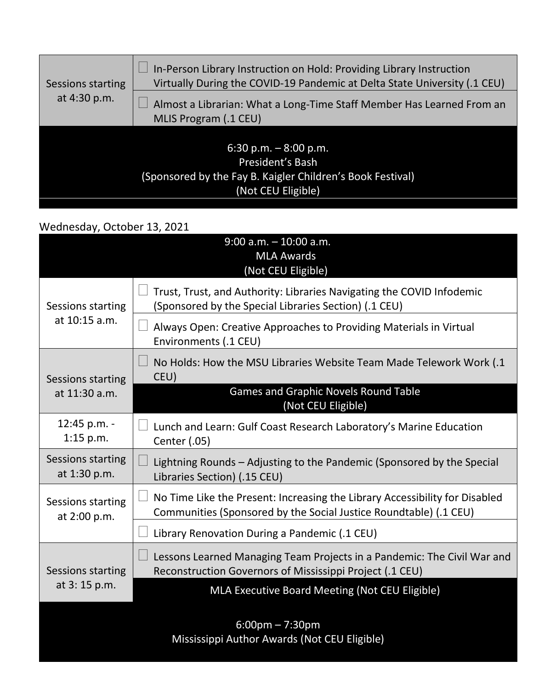| Sessions starting<br>at 4:30 p.m. | In-Person Library Instruction on Hold: Providing Library Instruction<br>Virtually During the COVID-19 Pandemic at Delta State University (.1 CEU) |
|-----------------------------------|---------------------------------------------------------------------------------------------------------------------------------------------------|
|                                   | Almost a Librarian: What a Long-Time Staff Member Has Learned From an<br>MLIS Program (.1 CEU)                                                    |
|                                   | 6:30 p.m. $-8:00$ p.m.<br>President's Bash<br>(Sponsored by the Fay B. Kaigler Children's Book Festival)<br>(Not CEU Eligible)                    |

## Wednesday, October 13, 2021

|                                    | $9:00$ a.m. $-10:00$ a.m.<br><b>MLA Awards</b><br>(Not CEU Eligible)                                                                             |
|------------------------------------|--------------------------------------------------------------------------------------------------------------------------------------------------|
| Sessions starting<br>at 10:15 a.m. | Trust, Trust, and Authority: Libraries Navigating the COVID Infodemic<br>(Sponsored by the Special Libraries Section) (.1 CEU)                   |
|                                    | Always Open: Creative Approaches to Providing Materials in Virtual<br>Environments (.1 CEU)                                                      |
| Sessions starting<br>at 11:30 a.m. | No Holds: How the MSU Libraries Website Team Made Telework Work (.1<br>CEU)                                                                      |
|                                    | <b>Games and Graphic Novels Round Table</b><br>(Not CEU Eligible)                                                                                |
| 12:45 p.m. -<br>$1:15$ p.m.        | Lunch and Learn: Gulf Coast Research Laboratory's Marine Education<br>Center (.05)                                                               |
| Sessions starting<br>at 1:30 p.m.  | Lightning Rounds - Adjusting to the Pandemic (Sponsored by the Special<br>Libraries Section) (.15 CEU)                                           |
| Sessions starting<br>at 2:00 p.m.  | No Time Like the Present: Increasing the Library Accessibility for Disabled<br>Communities (Sponsored by the Social Justice Roundtable) (.1 CEU) |
|                                    | Library Renovation During a Pandemic (.1 CEU)                                                                                                    |
| Sessions starting<br>at 3:15 p.m.  | Lessons Learned Managing Team Projects in a Pandemic: The Civil War and<br>$\Box$<br>Reconstruction Governors of Mississippi Project (.1 CEU)    |
|                                    | MLA Executive Board Meeting (Not CEU Eligible)                                                                                                   |
|                                    | $6:00 \text{pm} - 7:30 \text{pm}$<br>Mississippi Author Awards (Not CEU Eligible)                                                                |